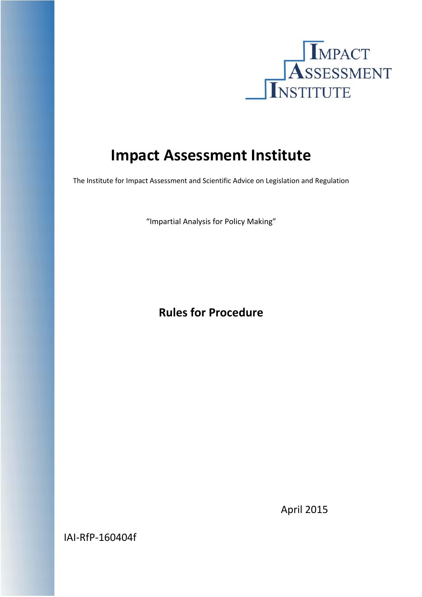

# **Impact Assessment Institute**

The Institute for Impact Assessment and Scientific Advice on Legislation and Regulation

"Impartial Analysis for Policy Making"

# **Rules for Procedure**

April 2015

IAI‐RfP‐160404f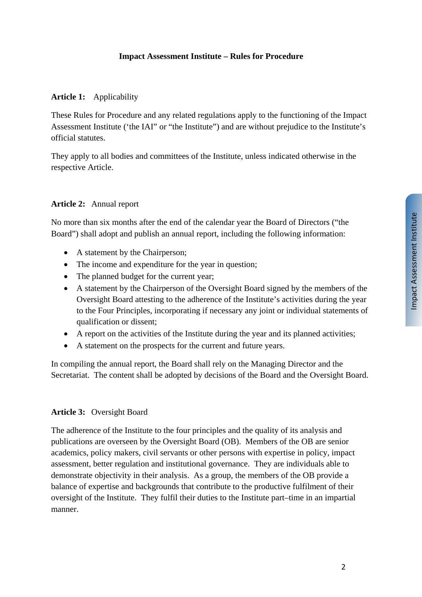### **Impact Assessment Institute – Rules for Procedure**

#### **Article 1:** Applicability

These Rules for Procedure and any related regulations apply to the functioning of the Impact Assessment Institute ('the IAI" or "the Institute") and are without prejudice to the Institute's official statutes.

They apply to all bodies and committees of the Institute, unless indicated otherwise in the respective Article.

#### **Article 2:** Annual report

No more than six months after the end of the calendar year the Board of Directors ("the Board") shall adopt and publish an annual report, including the following information:

- A statement by the Chairperson:
- The income and expenditure for the year in question;
- The planned budget for the current year;
- A statement by the Chairperson of the Oversight Board signed by the members of the Oversight Board attesting to the adherence of the Institute's activities during the year to the Four Principles, incorporating if necessary any joint or individual statements of qualification or dissent;
- A report on the activities of the Institute during the year and its planned activities;
- A statement on the prospects for the current and future years.

In compiling the annual report, the Board shall rely on the Managing Director and the Secretariat. The content shall be adopted by decisions of the Board and the Oversight Board.

#### **Article 3:** Oversight Board

The adherence of the Institute to the four principles and the quality of its analysis and publications are overseen by the Oversight Board (OB). Members of the OB are senior academics, policy makers, civil servants or other persons with expertise in policy, impact assessment, better regulation and institutional governance. They are individuals able to demonstrate objectivity in their analysis. As a group, the members of the OB provide a balance of expertise and backgrounds that contribute to the productive fulfilment of their oversight of the Institute. They fulfil their duties to the Institute part–time in an impartial manner.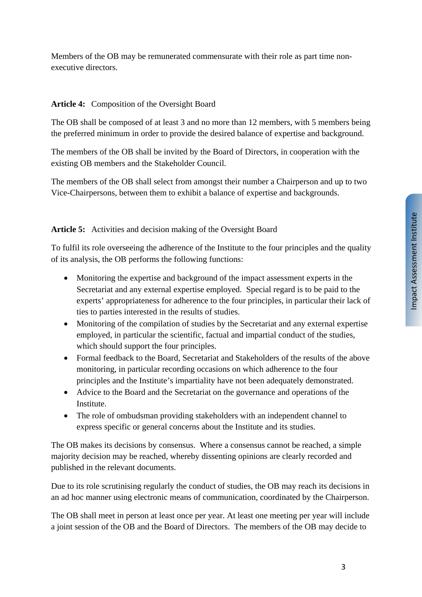Members of the OB may be remunerated commensurate with their role as part time nonexecutive directors.

## **Article 4:** Composition of the Oversight Board

The OB shall be composed of at least 3 and no more than 12 members, with 5 members being the preferred minimum in order to provide the desired balance of expertise and background.

The members of the OB shall be invited by the Board of Directors, in cooperation with the existing OB members and the Stakeholder Council.

The members of the OB shall select from amongst their number a Chairperson and up to two Vice-Chairpersons, between them to exhibit a balance of expertise and backgrounds.

# **Article 5:** Activities and decision making of the Oversight Board

To fulfil its role overseeing the adherence of the Institute to the four principles and the quality of its analysis, the OB performs the following functions:

- Monitoring the expertise and background of the impact assessment experts in the Secretariat and any external expertise employed. Special regard is to be paid to the experts' appropriateness for adherence to the four principles, in particular their lack of ties to parties interested in the results of studies.
- Monitoring of the compilation of studies by the Secretariat and any external expertise employed, in particular the scientific, factual and impartial conduct of the studies, which should support the four principles.
- Formal feedback to the Board, Secretariat and Stakeholders of the results of the above monitoring, in particular recording occasions on which adherence to the four principles and the Institute's impartiality have not been adequately demonstrated.
- Advice to the Board and the Secretariat on the governance and operations of the Institute.
- The role of ombudsman providing stakeholders with an independent channel to express specific or general concerns about the Institute and its studies.

The OB makes its decisions by consensus. Where a consensus cannot be reached, a simple majority decision may be reached, whereby dissenting opinions are clearly recorded and published in the relevant documents.

Due to its role scrutinising regularly the conduct of studies, the OB may reach its decisions in an ad hoc manner using electronic means of communication, coordinated by the Chairperson.

The OB shall meet in person at least once per year. At least one meeting per year will include a joint session of the OB and the Board of Directors. The members of the OB may decide to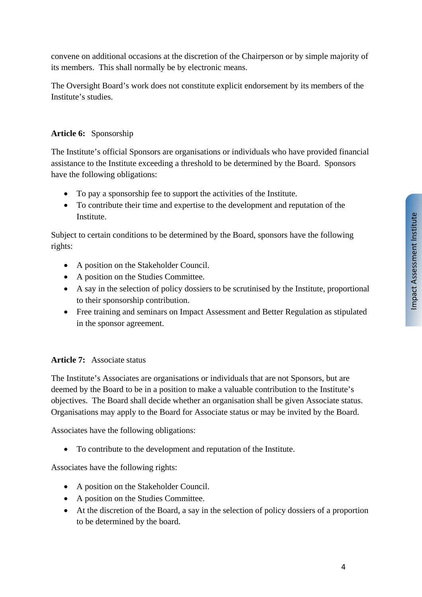convene on additional occasions at the discretion of the Chairperson or by simple majority of its members. This shall normally be by electronic means.

The Oversight Board's work does not constitute explicit endorsement by its members of the Institute's studies.

# **Article 6:** Sponsorship

The Institute's official Sponsors are organisations or individuals who have provided financial assistance to the Institute exceeding a threshold to be determined by the Board. Sponsors have the following obligations:

- To pay a sponsorship fee to support the activities of the Institute.
- To contribute their time and expertise to the development and reputation of the Institute.

Subject to certain conditions to be determined by the Board, sponsors have the following rights:

- A position on the Stakeholder Council.
- A position on the Studies Committee.
- A say in the selection of policy dossiers to be scrutinised by the Institute, proportional to their sponsorship contribution.
- Free training and seminars on Impact Assessment and Better Regulation as stipulated in the sponsor agreement.

#### **Article 7:** Associate status

The Institute's Associates are organisations or individuals that are not Sponsors, but are deemed by the Board to be in a position to make a valuable contribution to the Institute's objectives. The Board shall decide whether an organisation shall be given Associate status. Organisations may apply to the Board for Associate status or may be invited by the Board.

Associates have the following obligations:

To contribute to the development and reputation of the Institute.

Associates have the following rights:

- A position on the Stakeholder Council.
- A position on the Studies Committee.
- At the discretion of the Board, a say in the selection of policy dossiers of a proportion to be determined by the board.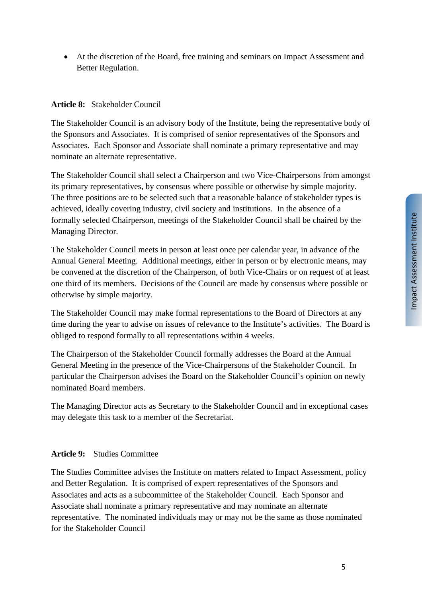At the discretion of the Board, free training and seminars on Impact Assessment and Better Regulation.

### **Article 8:** Stakeholder Council

The Stakeholder Council is an advisory body of the Institute, being the representative body of the Sponsors and Associates. It is comprised of senior representatives of the Sponsors and Associates. Each Sponsor and Associate shall nominate a primary representative and may nominate an alternate representative.

The Stakeholder Council shall select a Chairperson and two Vice-Chairpersons from amongst its primary representatives, by consensus where possible or otherwise by simple majority. The three positions are to be selected such that a reasonable balance of stakeholder types is achieved, ideally covering industry, civil society and institutions. In the absence of a formally selected Chairperson, meetings of the Stakeholder Council shall be chaired by the Managing Director.

The Stakeholder Council meets in person at least once per calendar year, in advance of the Annual General Meeting. Additional meetings, either in person or by electronic means, may be convened at the discretion of the Chairperson, of both Vice-Chairs or on request of at least one third of its members. Decisions of the Council are made by consensus where possible or otherwise by simple majority.

The Stakeholder Council may make formal representations to the Board of Directors at any time during the year to advise on issues of relevance to the Institute's activities. The Board is obliged to respond formally to all representations within 4 weeks.

The Chairperson of the Stakeholder Council formally addresses the Board at the Annual General Meeting in the presence of the Vice-Chairpersons of the Stakeholder Council. In particular the Chairperson advises the Board on the Stakeholder Council's opinion on newly nominated Board members.

The Managing Director acts as Secretary to the Stakeholder Council and in exceptional cases may delegate this task to a member of the Secretariat.

#### **Article 9:** Studies Committee

The Studies Committee advises the Institute on matters related to Impact Assessment, policy and Better Regulation. It is comprised of expert representatives of the Sponsors and Associates and acts as a subcommittee of the Stakeholder Council. Each Sponsor and Associate shall nominate a primary representative and may nominate an alternate representative. The nominated individuals may or may not be the same as those nominated for the Stakeholder Council